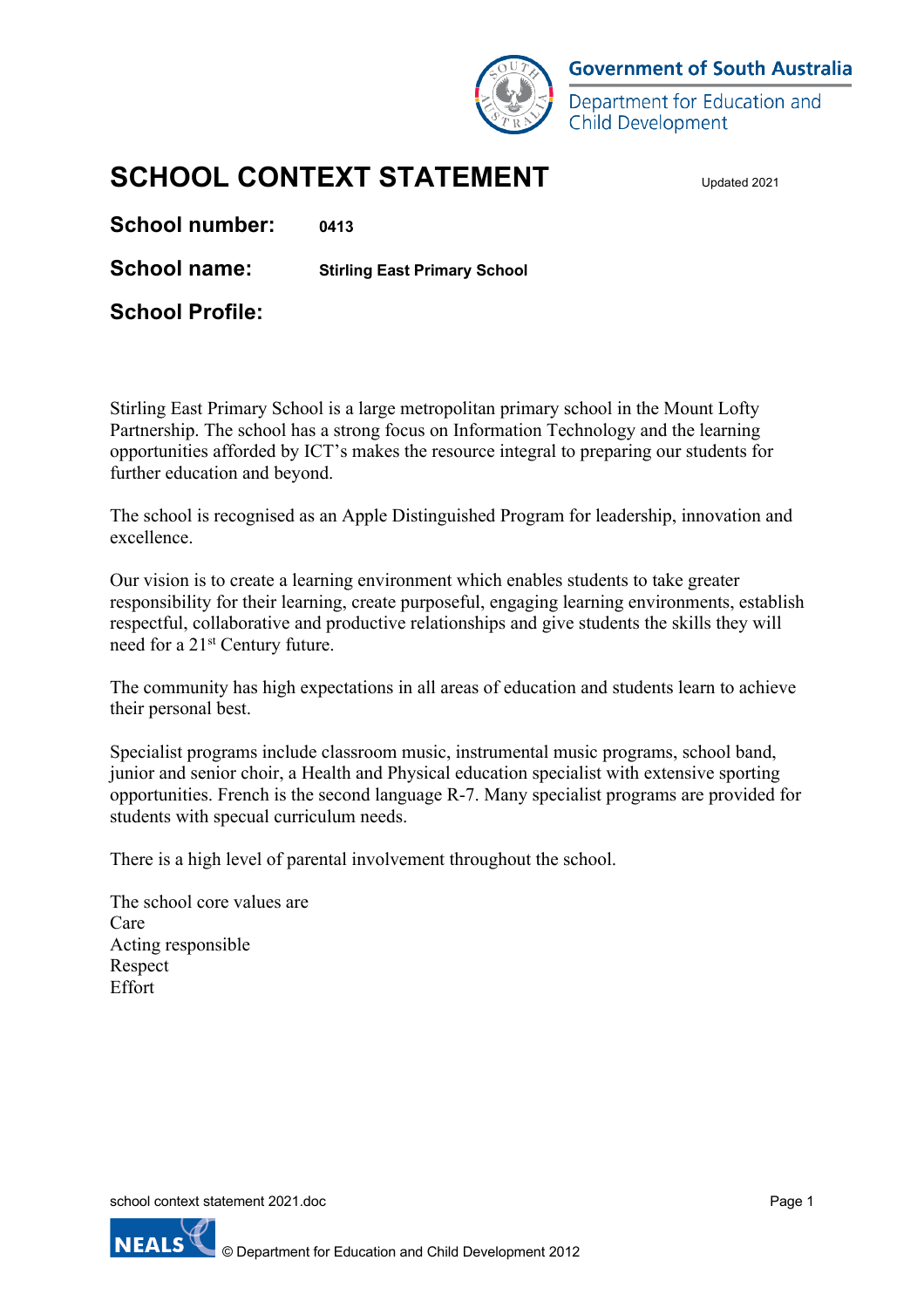

**Government of South Australia** 

Department for Education and **Child Development** 

# **SCHOOL CONTEXT STATEMENT**

**School number: 0413**

**School name: Stirling East Primary School**

**School Profile:** 

Stirling East Primary School is a large metropolitan primary school in the Mount Lofty Partnership. The school has a strong focus on Information Technology and the learning opportunities afforded by ICT's makes the resource integral to preparing our students for further education and beyond.

The school is recognised as an Apple Distinguished Program for leadership, innovation and excellence.

Our vision is to create a learning environment which enables students to take greater responsibility for their learning, create purposeful, engaging learning environments, establish respectful, collaborative and productive relationships and give students the skills they will need for a 21st Century future.

The community has high expectations in all areas of education and students learn to achieve their personal best.

Specialist programs include classroom music, instrumental music programs, school band, junior and senior choir, a Health and Physical education specialist with extensive sporting opportunities. French is the second language R-7. Many specialist programs are provided for students with specual curriculum needs.

There is a high level of parental involvement throughout the school.

The school core values are Care Acting responsible Respect Effort

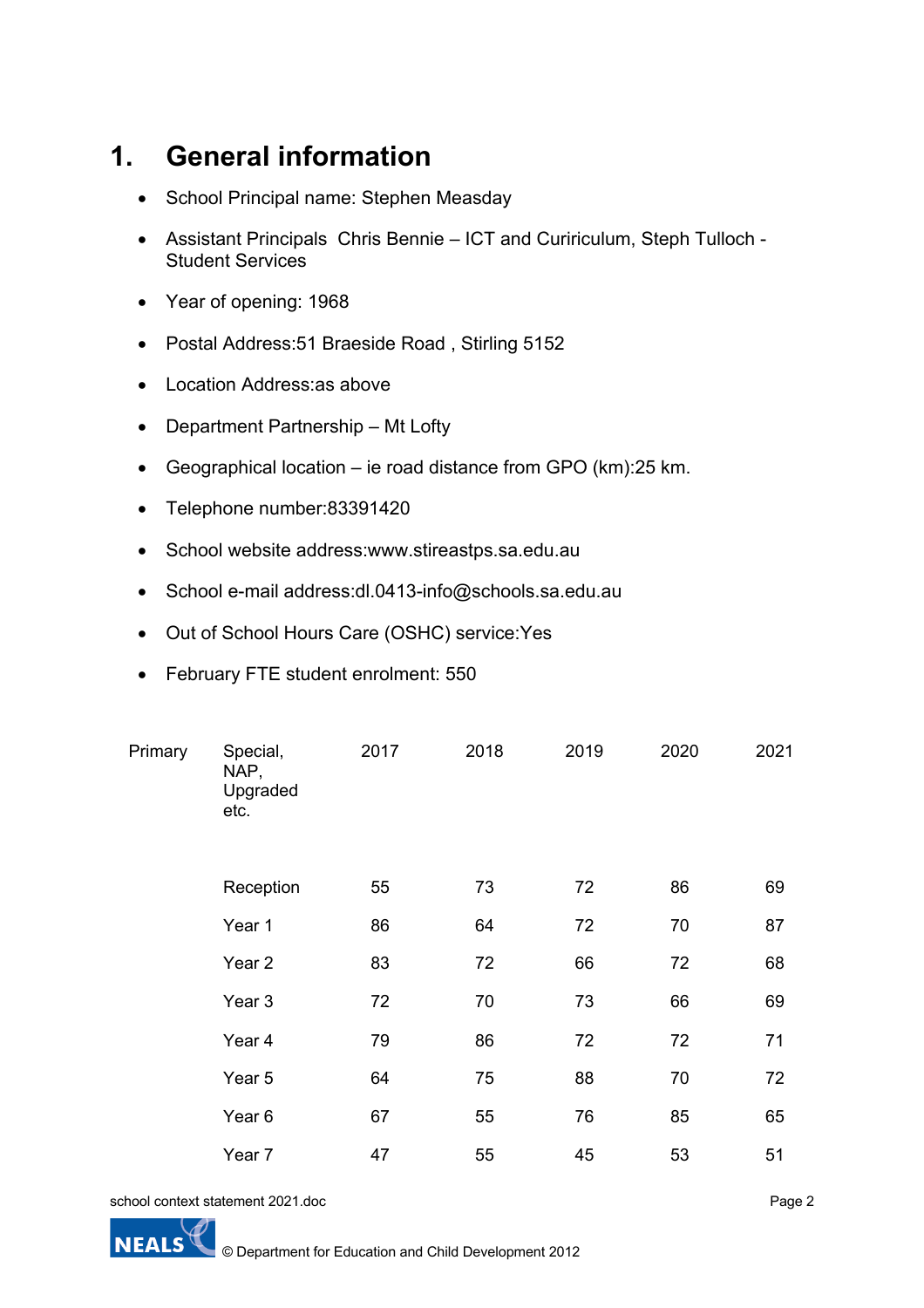## **1. General information**

- School Principal name: Stephen Measday
- Assistant Principals Chris Bennie ICT and Cuririculum, Steph Tulloch Student Services
- Year of opening: 1968
- Postal Address:51 Braeside Road , Stirling 5152
- Location Address:as above
- Department Partnership Mt Lofty
- Geographical location ie road distance from GPO (km):25 km.
- Telephone number:83391420
- School website address:www.stireastps.sa.edu.au
- School e-mail address:dl.0413-info@schools.sa.edu.au
- Out of School Hours Care (OSHC) service:Yes
- February FTE student enrolment: 550

| Primary | Special,<br>NAP,<br>Upgraded<br>etc. | 2017 | 2018 | 2019 | 2020 | 2021 |
|---------|--------------------------------------|------|------|------|------|------|
|         | Reception                            | 55   | 73   | 72   | 86   | 69   |
|         | Year 1                               | 86   | 64   | 72   | 70   | 87   |
|         | Year <sub>2</sub>                    | 83   | 72   | 66   | 72   | 68   |
|         | Year <sub>3</sub>                    | 72   | 70   | 73   | 66   | 69   |
|         | Year 4                               | 79   | 86   | 72   | 72   | 71   |
|         | Year 5                               | 64   | 75   | 88   | 70   | 72   |
|         | Year <sub>6</sub>                    | 67   | 55   | 76   | 85   | 65   |
|         | Year 7                               | 47   | 55   | 45   | 53   | 51   |

school context statement 2021.doc



Page 2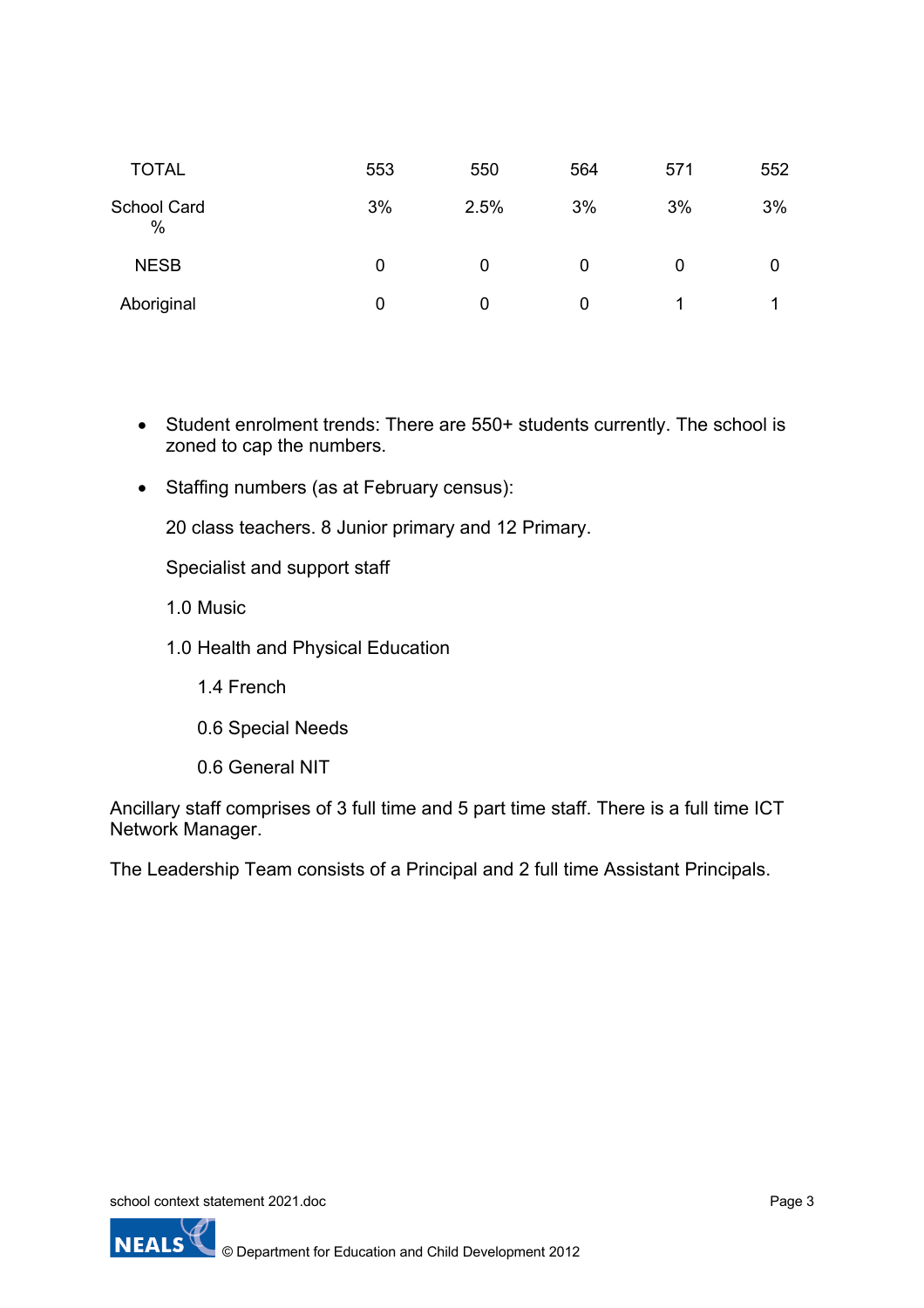| <b>TOTAL</b>               | 553 | 550  | 564 | 571 | 552 |
|----------------------------|-----|------|-----|-----|-----|
| <b>School Card</b><br>$\%$ | 3%  | 2.5% | 3%  | 3%  | 3%  |
| <b>NESB</b>                | 0   | 0    | 0   | 0   |     |
| Aboriginal                 | 0   | 0    | 0   |     | 1   |

- Student enrolment trends: There are 550+ students currently. The school is zoned to cap the numbers.
- Staffing numbers (as at February census):

20 class teachers. 8 Junior primary and 12 Primary.

Specialist and support staff

1.0 Music

- 1.0 Health and Physical Education
	- 1.4 French
	- 0.6 Special Needs
	- 0.6 General NIT

Ancillary staff comprises of 3 full time and 5 part time staff. There is a full time ICT Network Manager.

The Leadership Team consists of a Principal and 2 full time Assistant Principals.

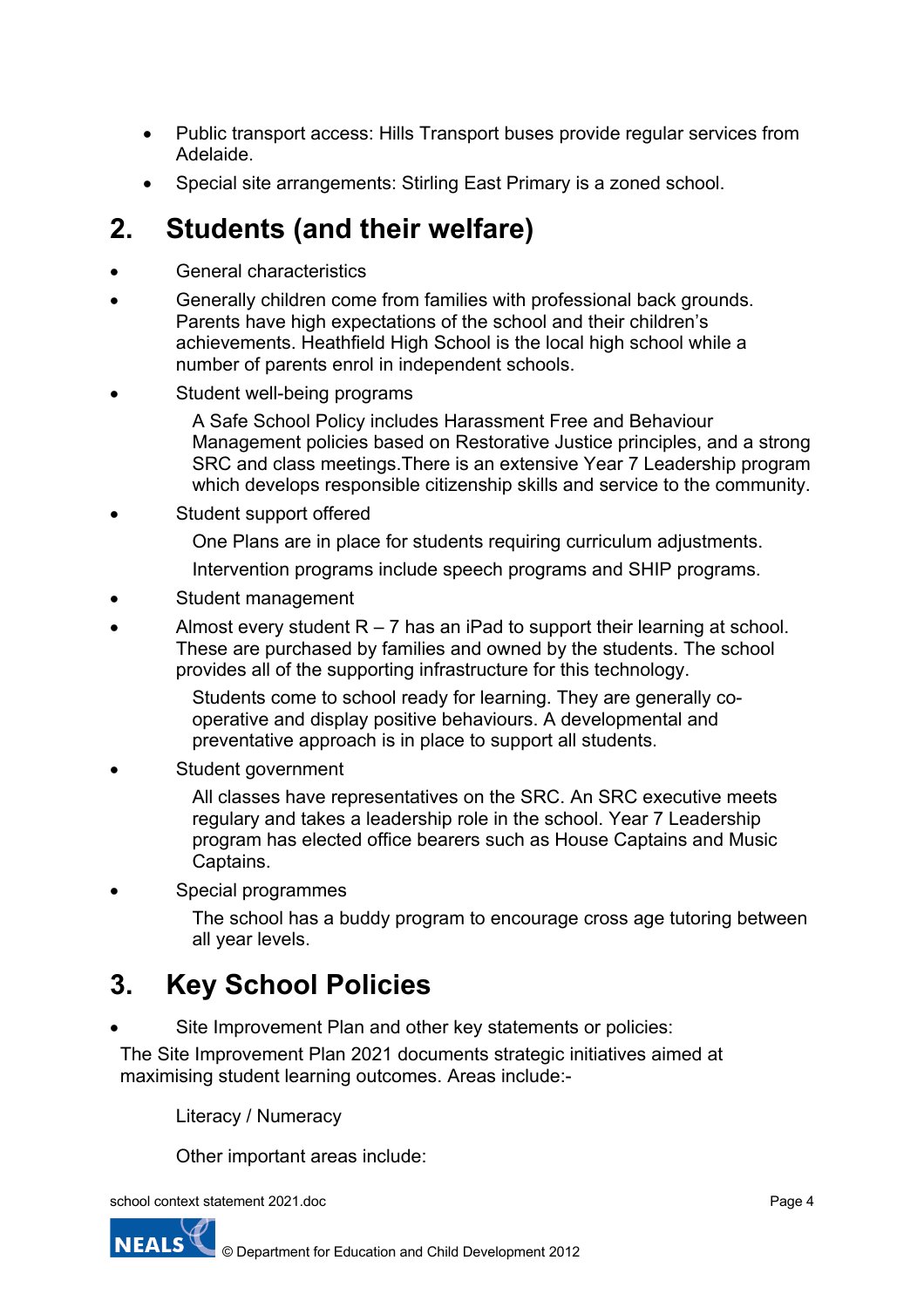- Public transport access: Hills Transport buses provide regular services from Adelaide.
- Special site arrangements: Stirling East Primary is a zoned school.

### **2. Students (and their welfare)**

- General characteristics
- Generally children come from families with professional back grounds. Parents have high expectations of the school and their children's achievements. Heathfield High School is the local high school while a number of parents enrol in independent schools.
- Student well-being programs
	- A Safe School Policy includes Harassment Free and Behaviour Management policies based on Restorative Justice principles, and a strong SRC and class meetings.There is an extensive Year 7 Leadership program which develops responsible citizenship skills and service to the community.
- Student support offered
	- One Plans are in place for students requiring curriculum adjustments.
	- Intervention programs include speech programs and SHIP programs.
- Student management
- Almost every student  $R 7$  has an iPad to support their learning at school. These are purchased by families and owned by the students. The school provides all of the supporting infrastructure for this technology.
	- Students come to school ready for learning. They are generally cooperative and display positive behaviours. A developmental and preventative approach is in place to support all students.
- Student government
	- All classes have representatives on the SRC. An SRC executive meets regulary and takes a leadership role in the school. Year 7 Leadership program has elected office bearers such as House Captains and Music Captains.
- Special programmes

The school has a buddy program to encourage cross age tutoring between all year levels.

## **3. Key School Policies**

Site Improvement Plan and other key statements or policies:

The Site Improvement Plan 2021 documents strategic initiatives aimed at maximising student learning outcomes. Areas include:-

Literacy / Numeracy

Other important areas include:

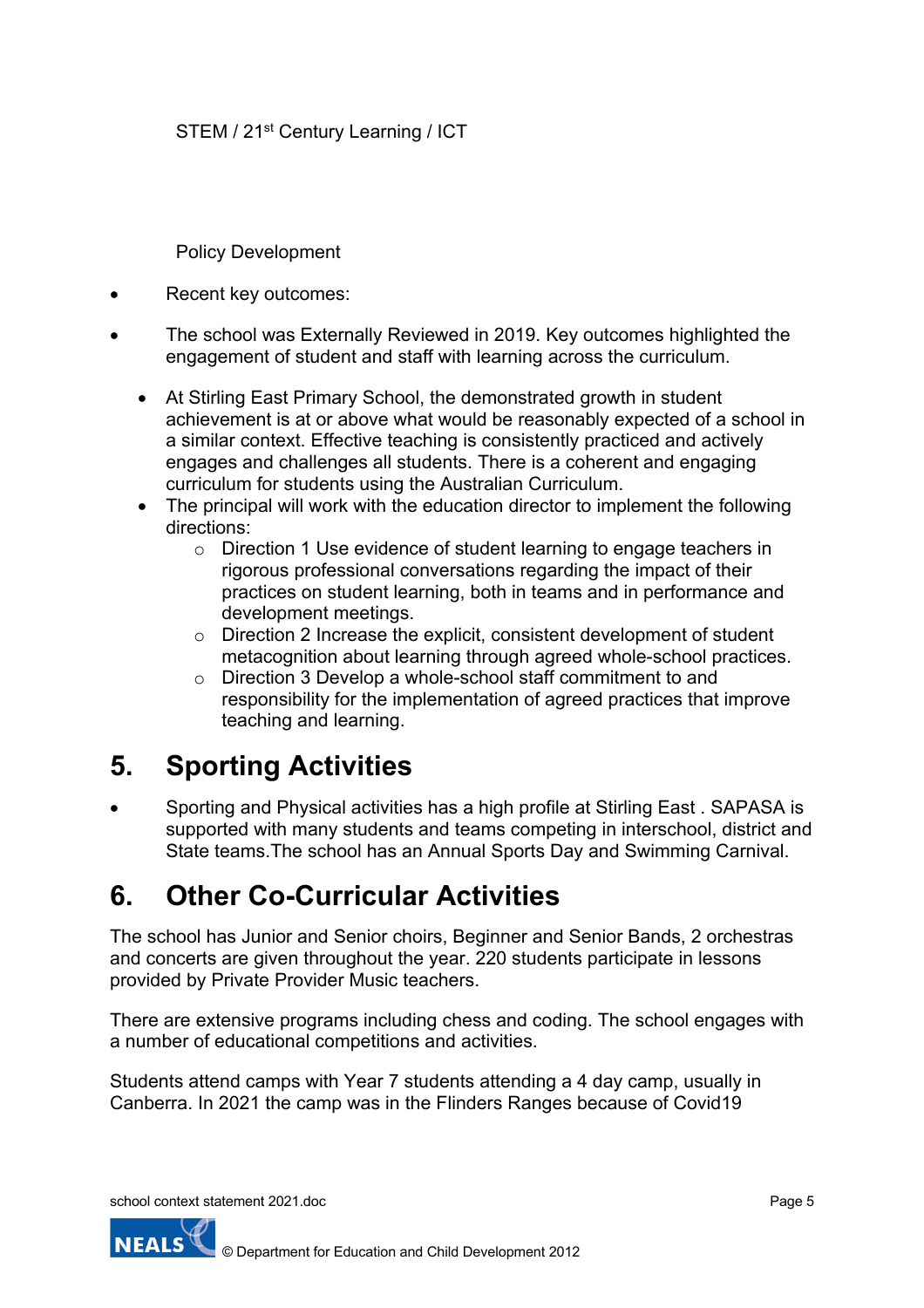STEM / 21<sup>st</sup> Century Learning / ICT

Policy Development

- Recent key outcomes:
- The school was Externally Reviewed in 2019. Key outcomes highlighted the engagement of student and staff with learning across the curriculum.
	- At Stirling East Primary School, the demonstrated growth in student achievement is at or above what would be reasonably expected of a school in a similar context. Effective teaching is consistently practiced and actively engages and challenges all students. There is a coherent and engaging curriculum for students using the Australian Curriculum.
	- The principal will work with the education director to implement the following directions:
		- o Direction 1 Use evidence of student learning to engage teachers in rigorous professional conversations regarding the impact of their practices on student learning, both in teams and in performance and development meetings.
		- o Direction 2 Increase the explicit, consistent development of student metacognition about learning through agreed whole-school practices.
		- o Direction 3 Develop a whole-school staff commitment to and responsibility for the implementation of agreed practices that improve teaching and learning.

## **5. Sporting Activities**

• Sporting and Physical activities has a high profile at Stirling East . SAPASA is supported with many students and teams competing in interschool, district and State teams.The school has an Annual Sports Day and Swimming Carnival.

### **6. Other Co-Curricular Activities**

The school has Junior and Senior choirs, Beginner and Senior Bands, 2 orchestras and concerts are given throughout the year. 220 students participate in lessons provided by Private Provider Music teachers.

There are extensive programs including chess and coding. The school engages with a number of educational competitions and activities.

Students attend camps with Year 7 students attending a 4 day camp, usually in Canberra. In 2021 the camp was in the Flinders Ranges because of Covid19

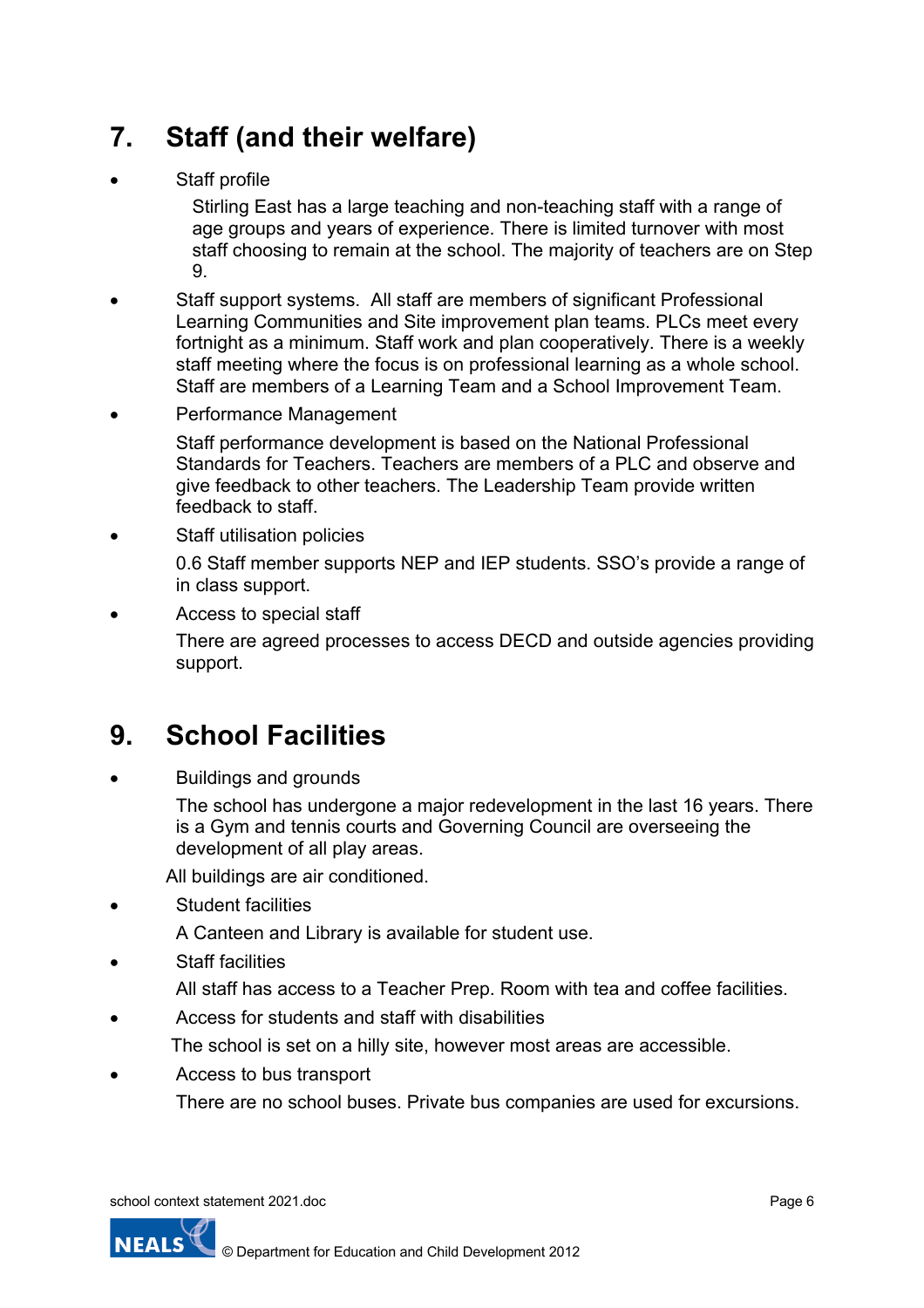# **7. Staff (and their welfare)**

Staff profile

Stirling East has a large teaching and non-teaching staff with a range of age groups and years of experience. There is limited turnover with most staff choosing to remain at the school. The majority of teachers are on Step 9.

- Staff support systems. All staff are members of significant Professional Learning Communities and Site improvement plan teams. PLCs meet every fortnight as a minimum. Staff work and plan cooperatively. There is a weekly staff meeting where the focus is on professional learning as a whole school. Staff are members of a Learning Team and a School Improvement Team.
- Performance Management

Staff performance development is based on the National Professional Standards for Teachers. Teachers are members of a PLC and observe and give feedback to other teachers. The Leadership Team provide written feedback to staff.

- Staff utilisation policies 0.6 Staff member supports NEP and IEP students. SSO's provide a range of in class support.
- Access to special staff

There are agreed processes to access DECD and outside agencies providing support.

## **9. School Facilities**

• Buildings and grounds

The school has undergone a major redevelopment in the last 16 years. There is a Gym and tennis courts and Governing Council are overseeing the development of all play areas.

All buildings are air conditioned.

- Student facilities
	- A Canteen and Library is available for student use.
- **Staff facilities** 
	- All staff has access to a Teacher Prep. Room with tea and coffee facilities.
- Access for students and staff with disabilities
	- The school is set on a hilly site, however most areas are accessible.
- Access to bus transport

There are no school buses. Private bus companies are used for excursions.